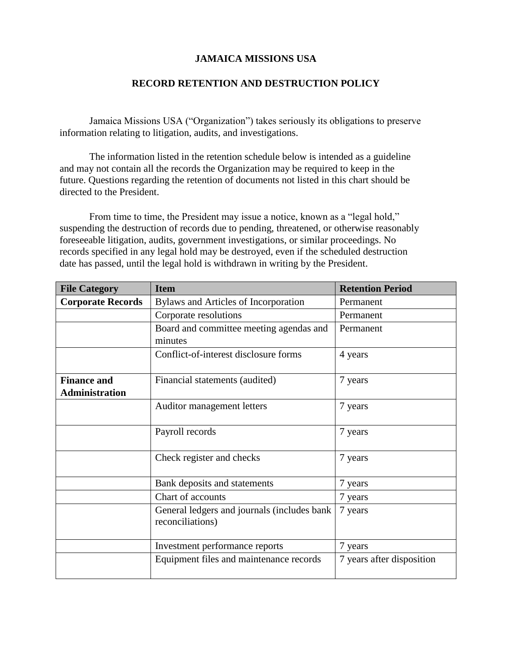### **JAMAICA MISSIONS USA**

### **RECORD RETENTION AND DESTRUCTION POLICY**

Jamaica Missions USA ("Organization") takes seriously its obligations to preserve information relating to litigation, audits, and investigations.

The information listed in the retention schedule below is intended as a guideline and may not contain all the records the Organization may be required to keep in the future. Questions regarding the retention of documents not listed in this chart should be directed to the President.

From time to time, the President may issue a notice, known as a "legal hold," suspending the destruction of records due to pending, threatened, or otherwise reasonably foreseeable litigation, audits, government investigations, or similar proceedings. No records specified in any legal hold may be destroyed, even if the scheduled destruction date has passed, until the legal hold is withdrawn in writing by the President.

| <b>File Category</b>     | <b>Item</b>                                                     | <b>Retention Period</b>   |
|--------------------------|-----------------------------------------------------------------|---------------------------|
| <b>Corporate Records</b> | Bylaws and Articles of Incorporation                            | Permanent                 |
|                          | Corporate resolutions                                           | Permanent                 |
|                          | Board and committee meeting agendas and<br>minutes              | Permanent                 |
|                          | Conflict-of-interest disclosure forms                           | 4 years                   |
| <b>Finance and</b>       | Financial statements (audited)                                  | 7 years                   |
| <b>Administration</b>    |                                                                 |                           |
|                          | Auditor management letters                                      | 7 years                   |
|                          | Payroll records                                                 | 7 years                   |
|                          | Check register and checks                                       | 7 years                   |
|                          | Bank deposits and statements                                    | 7 years                   |
|                          | Chart of accounts                                               | 7 years                   |
|                          | General ledgers and journals (includes bank<br>reconciliations) | 7 years                   |
|                          | Investment performance reports                                  | 7 years                   |
|                          | Equipment files and maintenance records                         | 7 years after disposition |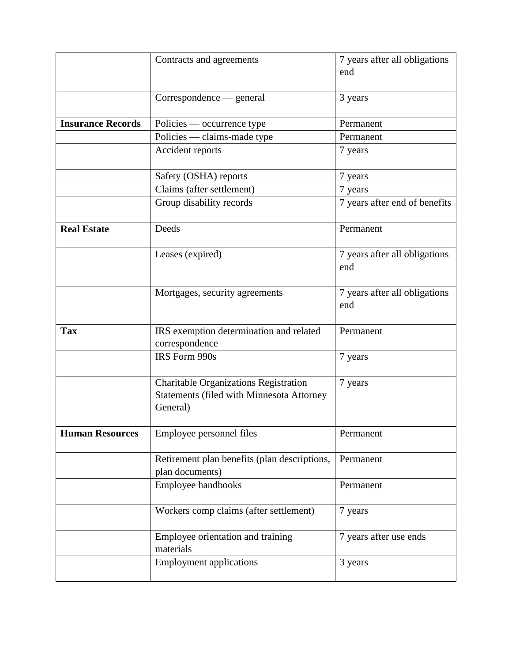|                          | Contracts and agreements                                                                                     | 7 years after all obligations<br>end |
|--------------------------|--------------------------------------------------------------------------------------------------------------|--------------------------------------|
|                          | Correspondence — general                                                                                     | 3 years                              |
| <b>Insurance Records</b> | Policies — occurrence type                                                                                   | Permanent                            |
|                          | Policies — claims-made type                                                                                  | Permanent                            |
|                          | Accident reports                                                                                             | 7 years                              |
|                          | Safety (OSHA) reports                                                                                        | 7 years                              |
|                          | Claims (after settlement)                                                                                    | 7 years                              |
|                          | Group disability records                                                                                     | 7 years after end of benefits        |
| <b>Real Estate</b>       | Deeds                                                                                                        | Permanent                            |
|                          | Leases (expired)                                                                                             | 7 years after all obligations<br>end |
|                          | Mortgages, security agreements                                                                               | 7 years after all obligations<br>end |
| <b>Tax</b>               | IRS exemption determination and related<br>correspondence                                                    | Permanent                            |
|                          | IRS Form 990s                                                                                                | 7 years                              |
|                          | <b>Charitable Organizations Registration</b><br><b>Statements (filed with Minnesota Attorney</b><br>General) | 7 years                              |
| <b>Human Resources</b>   | Employee personnel files                                                                                     | Permanent                            |
|                          | Retirement plan benefits (plan descriptions,<br>plan documents)                                              | Permanent                            |
|                          | Employee handbooks                                                                                           | Permanent                            |
|                          | Workers comp claims (after settlement)                                                                       | 7 years                              |
|                          | Employee orientation and training<br>materials                                                               | 7 years after use ends               |
|                          | <b>Employment applications</b>                                                                               | 3 years                              |